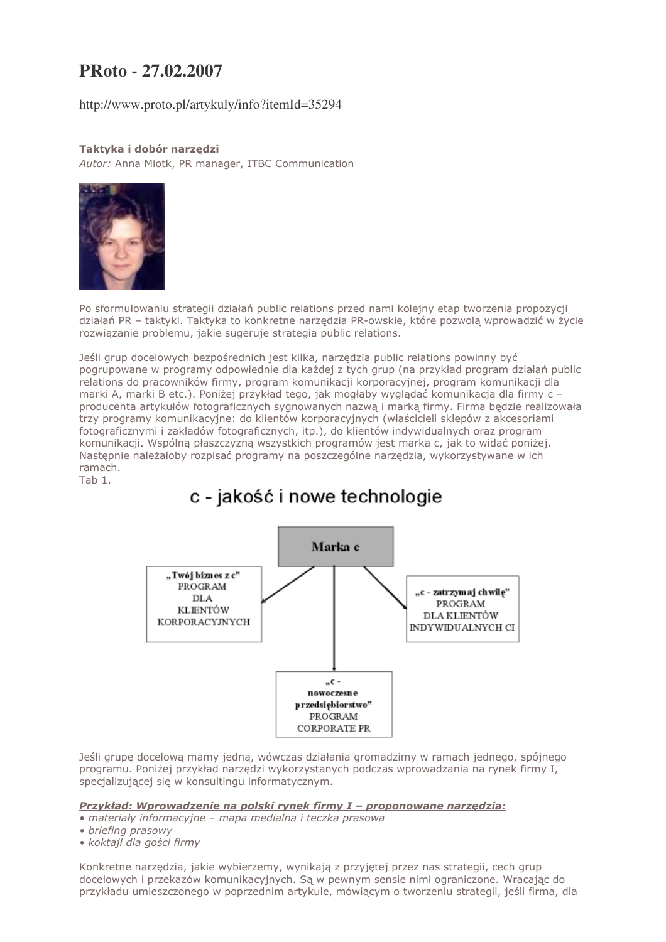## PRoto - 27.02.2007

http://www.proto.pl/artykuly/info?itemId=35294

## Taktyka i dobór narzedzi

Autor: Anna Miotk, PR manager, ITBC Communication



Po sformułowaniu strategii działań public relations przed nami kolejny etap tworzenia propozycji działań PR - taktyki. Taktyka to konkretne narzędzia PR-owskie, które pozwolą wprowadzić w życie rozwiązanie problemu, jakie sugeruje strategia public relations.

Jeśli grup docelowych bezpośrednich jest kilka, narzedzia public relations powinny być pogrupowane w programy odpowiednie dla każdej z tych grup (na przykład program działań public relations do pracowników firmy, program komunikacji korporacyjnej, program komunikacji dla marki A, marki B etc.). Poniżej przykład tego, jak mogłaby wyglądać komunikacja dla firmy c producenta artykułów fotograficznych sygnowanych nazwą i marką firmy. Firma będzie realizowała trzy programy komunikacyjne: do klientów korporacyjnych (właścicieli sklepów z akcesoriami fotograficznymi i zakładów fotograficznych, itp.), do klientów indywidualnych oraz program komunikacji. Wspólną płaszczyzną wszystkich programów jest marka c, jak to widać poniżej. Nastepnie należałoby rozpisać programy na poszczególne narzedzia, wykorzystywane w ich ramach.

Tab 1.

# c - jakość i nowe technologie



Jeśli grupę docelowa mamy jedna, wówczas działania gromadzimy w ramach jednego, spójnego programu. Poniżej przykład narzedzi wykorzystanych podczas wprowadzania na rynek firmy I, specializującej się w konsultingu informatycznym.

Przykład: Wprowadzenie na polski rynek firmy I - proponowane narzędzia:

- · materiały informacyjne mapa medialna i teczka prasowa
- · briefing prasowy
- · koktajl dla gości firmy

Konkretne narzędzia, jakie wybierzemy, wynikają z przyjętej przez nas strategii, cech grup docelowych i przekazów komunikacyjnych. Sa w pewnym sensię nimi ograniczone. Wracając do przykładu umieszczonego w poprzednim artykule, mówiącym o tworzeniu strategii, jeśli firma, dla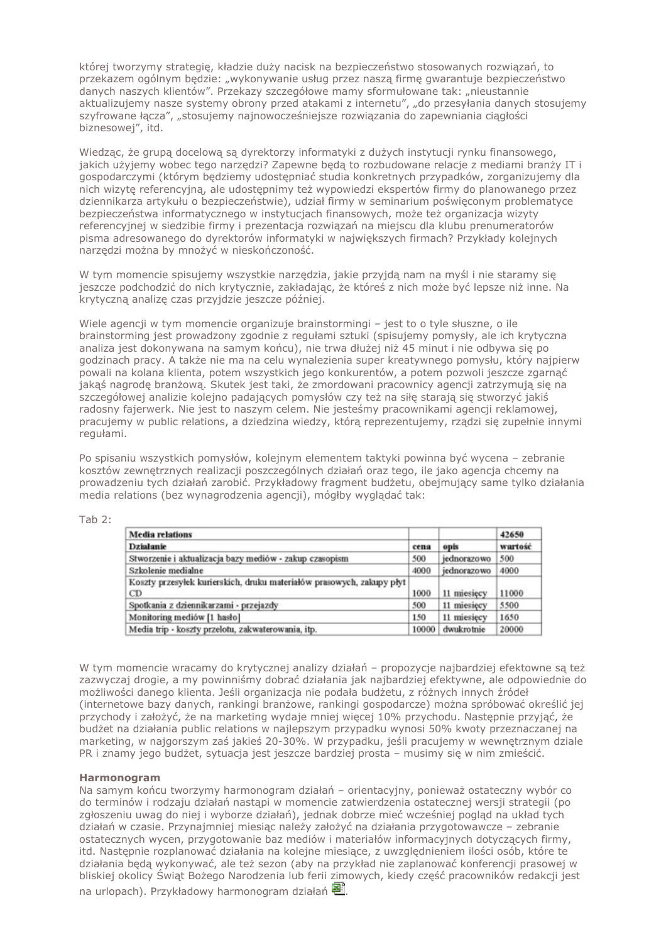której tworzymy strategie, kładzie duży nacisk na bezpieczeństwo stosowanych rozwiązań, to przekazem ogólnym bedzie: "wykonywanie usług przez naszą firme gwarantuje bezpieczeństwo danych naszych klientów". Przekazy szczegółowe mamy sformułowane tak: "nieustannie aktualizujemy nasze systemy obrony przed atakami z internetu", "do przesyłania danych stosujemy szyfrowane łącza", "stosujemy najnowocześniejsze rozwiązania do zapewniania ciągłości biznesowej", itd.

Wiedząc, że grupą docelową są dyrektorzy informatyki z dużych instytucji rynku finansowego, jakich użyjemy wobec tego narzędzi? Zapewne będą to rozbudowane relacje z mediami branży IT i gospodarczymi (którym będziemy udostępniać studia konkretnych przypadków, zorganizujemy dla nich wizyte referencyjna, ale udostepnimy też wypowiedzi ekspertów firmy do planowanego przez dziennikarza artykułu o bezpieczeństwie), udział firmy w seminarium poświeconym problematyce bezpieczeństwa informatycznego w instytucjach finansowych, może też organizacja wizyty referencyjnej w siedzibie firmy i prezentacja rozwiązań na miejscu dla klubu prenumeratorów pisma adresowanego do dyrektorów informatyki w największych firmach? Przykłady kolejnych narzędzi można by mnożyć w nieskończoność.

W tym momencie spisujemy wszystkie narzędzia, jakie przyjdą nam na myśl i nie staramy się jeszcze podchodzić do nich krytycznie, zakładając, że któreś z nich może być lepsze niż inne. Na krytyczną analizę czas przyjdzie jeszcze później.

Wiele agencii w tym momencie organizuje brainstormingi - jest to o tyle słuszne, o jle brainstorming jest prowadzony zgodnie z regułami sztuki (spisujemy pomysły, ale ich krytyczna analiza jest dokonywana na samym końcu), nie trwa dłużej niż 45 minut i nie odbywa się po godzinach pracy. A także nie ma na celu wynalezienia super kreatywnego pomysłu, który najpierw powali na kolana klienta, potem wszystkich jego konkurentów, a potem pozwoli jeszcze zgarnąć jakąś nagrodę branżową. Skutek jest taki, że zmordowani pracownicy agencji zatrzymują się na szczegółowej analizie kolejno padających pomysłów czy też na siłę starają się stworzyć jakiś radosny fajerwerk. Nie jest to naszym celem. Nie jesteśmy pracownikami agencji reklamowej, pracujemy w public relations, a dziedzina wiedzy, którą reprezentujemy, rządzi się zupełnie innymi regułami.

Po spisaniu wszystkich pomysłów, kolejnym elementem taktyki powinna być wycena – zebranie kosztów zewnętrznych realizacji poszczególnych działań oraz tego, ile jako agencja chcemy na prowadzeniu tych działań zarobić. Przykładowy fragment budżetu, obejmujący same tylko działania media relations (bez wynagrodzenia agencji), mógłby wyglądać tak:

| <b>Media relations</b><br><b>Działanie</b>                                  | cena  | opis        | 42650<br>wartość |
|-----------------------------------------------------------------------------|-------|-------------|------------------|
|                                                                             |       |             |                  |
| Szkolenie medialne                                                          | 4000  | jednorazowo | 4000             |
| Koszty przesyłek kurierskich, druku materiałów prasowych, zakupy płyt<br>CD | 1000  | 11 miesięcy | 11000            |
| Spotkania z dziennikarzami - przejazdy                                      | 500   | 11 miesięcy | 5500             |
| Monitoring mediów [1 hasło]                                                 | 150   | 11 miesięcy | 1650             |
| Media trip - koszty przelotu, zakwaterowania, itp.                          | 10000 | dwukrotnie  | 20000            |

W tym momencie wracamy do krytycznej analizy działań – propozycje najbardziej efektowne są też zazwyczaj drogie, a my powinniśmy dobrać działania jak najbardziej efektywne, ale odpowiednie do możliwości danego klienta. Jeśli organizacja nie podała budżetu, z różnych innych źródeł (internetowe bazy danych, rankingi branzowe, rankingi gospodarcze) można spróbować określić jej przychody i założyć, że na marketing wydaje mniej wiecej 10% przychodu. Nastepnie przyjąć, że budżet na działania public relations w najlepszym przypadku wynosi 50% kwoty przeznaczanej na marketing, w najgorszym zaś jakieś 20-30%. W przypadku, jeśli pracujemy w wewnetrznym dziale PR i znamy jego budżet, sytuacja jest jeszcze bardziej prosta – musimy się w nim zmieścić.

## **Harmonogram**

Na samym końcu tworzymy harmonogram działań – orientacyjny, ponieważ ostateczny wybór co do terminów i rodzaju działań nastapi w momencie zatwierdzenia ostatecznej wersji strategii (po zgłoszeniu uwag do niej i wyborze działań), jednak dobrze mieć wcześniej pogląd na układ tych działań w czasie. Przynajmniej miesiac należy założyć na działania przygotowawcze – zebranie ostatecznych wycen, przygotowanie baz mediów i materiałów informacyjnych dotyczących firmy, itd. Nastepnie rozplanować działania na kolejne miesiace, z uwzglednieniem ilości osób, które te działania będą wykonywać, ale też sezon (aby na przykład nie zaplanować konferencji prasowej w bliskiej okolicy Świąt Bożego Narodzenia lub ferii zimowych, kiedy część pracowników redakcji jest na urlopach). Przykładowy harmonogram działań<sup>[89]</sup>.

#### Tab  $2:$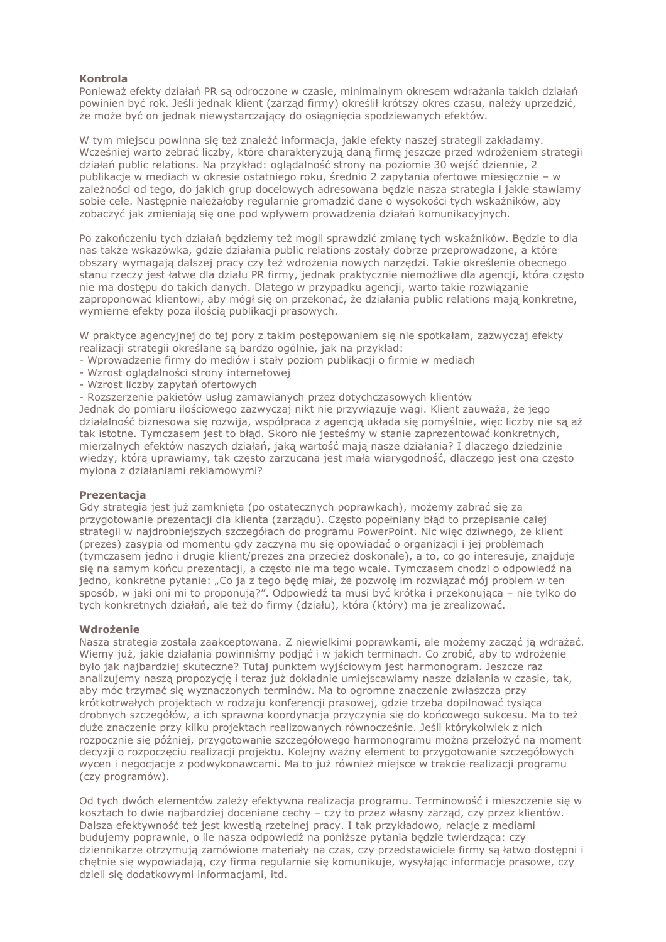## **Kontrola**

Ponieważ efekty działań PR są odroczone w czasie, minimalnym okresem wdrażania takich działań powinien być rok. Jeśli jednak klient (zarząd firmy) określił krótszy okres czasu, należy uprzedzić, że może być on jednak niewystarczający do osiągnięcia spodziewanych efektów.

W tym miejscu powinna się też znaleźć informacja, jakie efekty naszej strategii zakładamy. Wcześniej warto zebrać liczby, które charakteryzują daną firmę jeszcze przed wdrożeniem strategii działań public relations. Na przykład: oglądalność strony na poziomie 30 wejść dziennie, 2 publikacje w mediach w okresie ostatniego roku, średnio 2 zapytania ofertowe miesięcznie – w zależności od tego, do jakich grup docelowych adresowana bedzie nasza strategia i jakie stawiamy sobie cele. Nastepnie należałoby regularnie gromadzić dane o wysokości tych wskaźników, aby zobaczyć jak zmieniają się one pod wpływem prowadzenia działań komunikacyjnych.

Po zakończeniu tych działań będziemy też mogli sprawdzić zmianę tych wskaźników. Będzie to dla nas także wskazówka, gdzie działania public relations zostały dobrze przeprowadzone, a które obszary wymagają dalszej pracy czy też wdrożenia nowych narzędzi. Takie określenie obecnego stanu rzeczy jest łatwe dla działu PR firmy, jednak praktycznie niemożliwe dla agencji, która często nie ma dostępu do takich danych. Dlatego w przypadku agencji, warto takie rozwiązanie zaproponować klientowi, aby mógł się on przekonać, że działania public relations mają konkretne, wymierne efekty poza ilością publikacji prasowych.

W praktyce agencyjnej do tej pory z takim postepowaniem sie nie spotkałam, zazwyczaj efekty realizacji strategii określane są bardzo ogólnie, jak na przykład:

- Wprowadzenie firmy do mediów i stały poziom publikacji o firmie w mediach
- Wzrost oglądalności strony internetowej
- Wzrost liczby zapytań ofertowych

- Rozszerzenie pakietów usług zamawianych przez dotychczasowych klientów

Jednak do pomiaru ilościowego zazwyczaj nikt nie przywiązuje wagi. Klient zauważa, że jego działalność biznesowa się rozwija, współpraca z agencją układa się pomyślnie, więc liczby nie są aż tak istotne. Tymczasem jest to błąd. Skoro nie jesteśmy w stanie zaprezentować konkretnych, mierzalnych efektów naszych działań, jaką wartość mają nasze działania? I dlaczego dziedzinie wiedzy, którą uprawiamy, tak czesto zarzucana jest mała wiarygodność, dlaczego jest ona czesto mylona z działaniami reklamowymi?

## Prezentacja

Gdy strategia jest już zamknięta (po ostatecznych poprawkach), możemy zabrać się za przygotowanie prezentacji dla klienta (zarządu). Często popełniany błąd to przepisanie całej strategii w najdrobniejszych szczegółach do programu PowerPoint. Nic więc dziwnego, że klient (prezes) zasypia od momentu gdy zaczyna mu się opowiadać o organizacji i jej problemach (tymczasem jedno i drugie klient/prezes zna przecież doskonale), a to, co go interesuje, znajduje sie na samym końcu prezentacji, a czesto nie ma tego wcale. Tymczasem chodzi o odpowiedź na jedno, konkretne pytanie: "Co ja z tego bede miał, że pozwole im rozwiązać mój problem w ten sposób, w jaki oni mi to proponują?". Odpowiedź ta musi być krótka i przekonująca – nie tylko do tych konkretnych działań, ale też do firmy (działu), która (który) ma je zrealizować.

## Wdrożenie

Nasza strategia została zaakceptowana. Z niewielkimi poprawkami, ale możemy zacząć ją wdrażać. Wiemy już, jakie działania powinniśmy podjąć i w jakich terminach. Co zrobić, aby to wdrożenie było jak najbardziej skuteczne? Tutaj punktem wyjściowym jest harmonogram. Jeszcze raz analizujemy nasza propozycje i teraz już dokładnie umiejscawiamy nasze działania w czasie, tak, aby móc trzymać się wyznaczonych terminów. Ma to ogromne znaczenie zwłaszcza przy krótkotrwałych projektach w rodzaju konferencji prasowej, gdzie trzeba dopilnować tysiąca drobnych szczegółów, a ich sprawna koordynacja przyczynia się do końcowego sukcesu. Ma to też duże znaczenie przy kilku projektach realizowanych równocześnie. Jeśli którykolwiek z nich rozpocznie się później, przygotowanie szczegółowego harmonogramu można przełożyć na moment decyzji o rozpoczęciu realizacji projektu. Kolejny ważny element to przygotowanie szczegółowych wycen i negocjacje z podwykonawcami. Ma to już również miejsce w trakcie realizacji programu (czy programów).

Od tych dwóch elementów zależy efektywna realizacia programu. Terminowość i mieszczenie się w kosztach to dwie najbardziej doceniane cechy - czy to przez własny zarząd, czy przez klientów. Dalsza efektywność też jest kwestią rzetelnej pracy. I tak przykładowo, relacje z mediami budujemy poprawnie, o ile nasza odpowiedź na poniższe pytania będzie twierdząca: czy dziennikarze otrzymują zamówione materiały na czas, czy przedstawiciele firmy są łatwo dostępni i chetnie się wypowiadają, czy firma regularnie się komunikuje, wysyłając informacje prasowe, czy dzieli się dodatkowymi informacjami, itd.